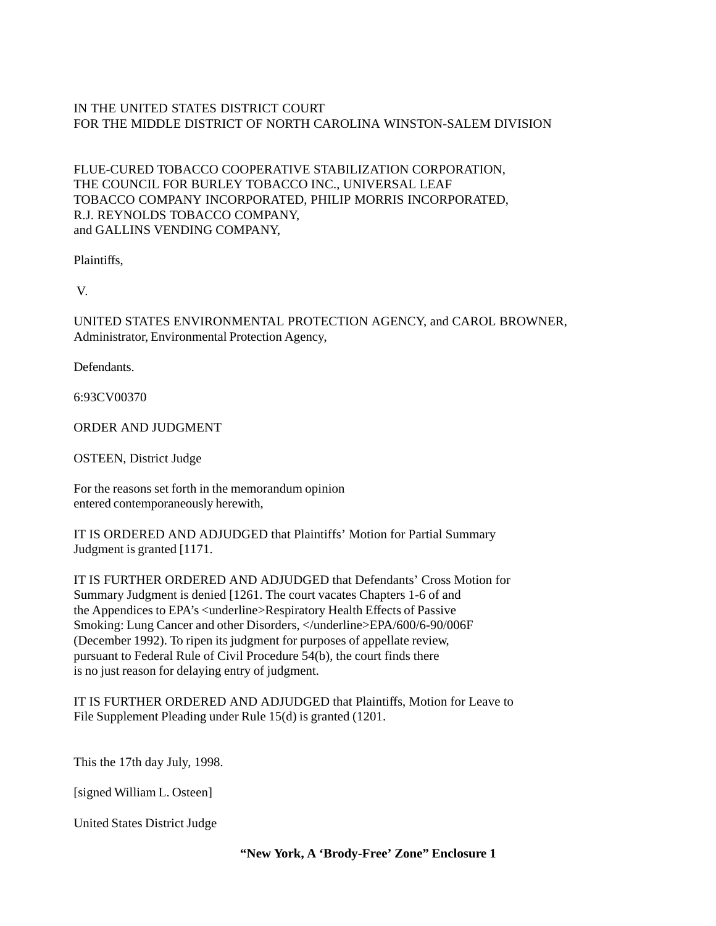## IN THE UNITED STATES DISTRICT COURT FOR THE MIDDLE DISTRICT OF NORTH CAROLINA WINSTON-SALEM DIVISION

## FLUE-CURED TOBACCO COOPERATIVE STABILIZATION CORPORATION, THE COUNCIL FOR BURLEY TOBACCO INC., UNIVERSAL LEAF TOBACCO COMPANY INCORPORATED, PHILIP MORRIS INCORPORATED, R.J. REYNOLDS TOBACCO COMPANY, and GALLINS VENDING COMPANY,

Plaintiffs,

V.

UNITED STATES ENVIRONMENTAL PROTECTION AGENCY, and CAROL BROWNER, Administrator, Environmental Protection Agency,

Defendants.

6:93CV00370

ORDER AND JUDGMENT

OSTEEN, District Judge

For the reasons set forth in the memorandum opinion entered contemporaneously herewith,

IT IS ORDERED AND ADJUDGED that Plaintiffs' Motion for Partial Summary Judgment is granted [1171.

IT IS FURTHER ORDERED AND ADJUDGED that Defendants' Cross Motion for Summary Judgment is denied [1261. The court vacates Chapters 1-6 of and the Appendices to EPA's <underline>Respiratory Health Effects of Passive Smoking: Lung Cancer and other Disorders, </underline>EPA/600/6-90/006F (December 1992). To ripen its judgment for purposes of appellate review, pursuant to Federal Rule of Civil Procedure 54(b), the court finds there is no just reason for delaying entry of judgment.

IT IS FURTHER ORDERED AND ADJUDGED that Plaintiffs, Motion for Leave to File Supplement Pleading under Rule 15(d) is granted (1201.

This the 17th day July, 1998.

[signed William L. Osteen]

United States District Judge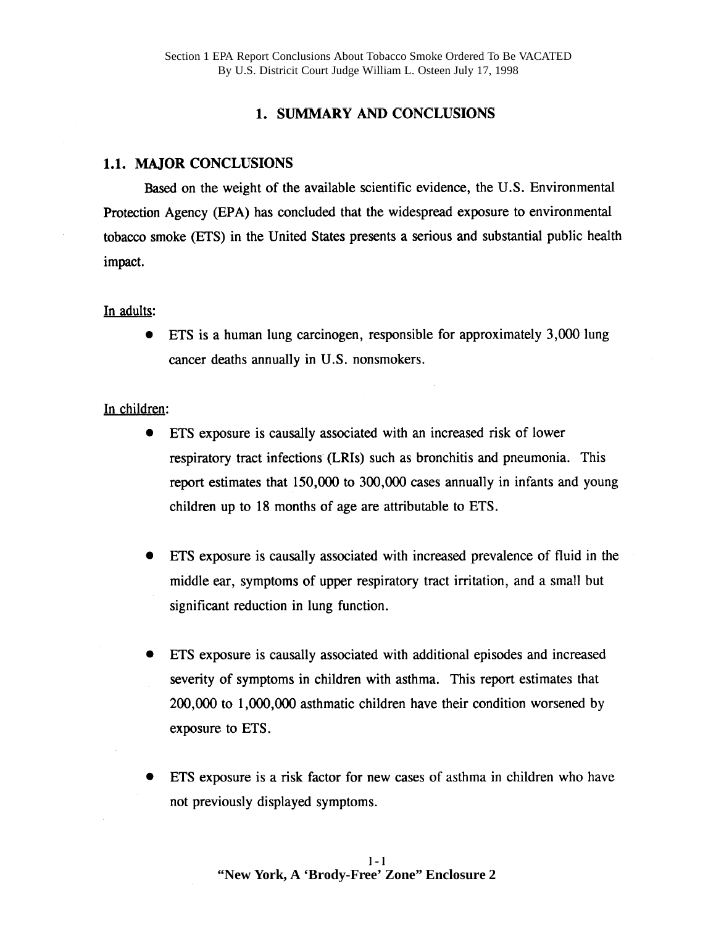# 1. SUMMARY AND CONCLUSIONS

### 1.1. MAJOR CONCLUSIONS

Based on the weight of the available scientific evidence, the U.S. Environmental Protection Agency (EPA) has concluded that the widespread exposure to environmental tobacco smoke (ETS) in the United States presents a serious and substantial public health impact.

#### In adults:

ETS is a human lung carcinogen, responsible for approximately 3,000 lung  $\bullet$ cancer deaths annually in U.S. nonsmokers.

### In children:

- ETS exposure is causally associated with an increased risk of lower respiratory tract infections (LRIs) such as bronchitis and pneumonia. This report estimates that 150,000 to 300,000 cases annually in infants and young children up to 18 months of age are attributable to ETS.
- ETS exposure is causally associated with increased prevalence of fluid in the  $\bullet$ middle ear, symptoms of upper respiratory tract irritation, and a small but significant reduction in lung function.
- ETS exposure is causally associated with additional episodes and increased severity of symptoms in children with asthma. This report estimates that 200,000 to 1,000,000 asthmatic children have their condition worsened by exposure to ETS.
- ETS exposure is a risk factor for new cases of asthma in children who have not previously displayed symptoms.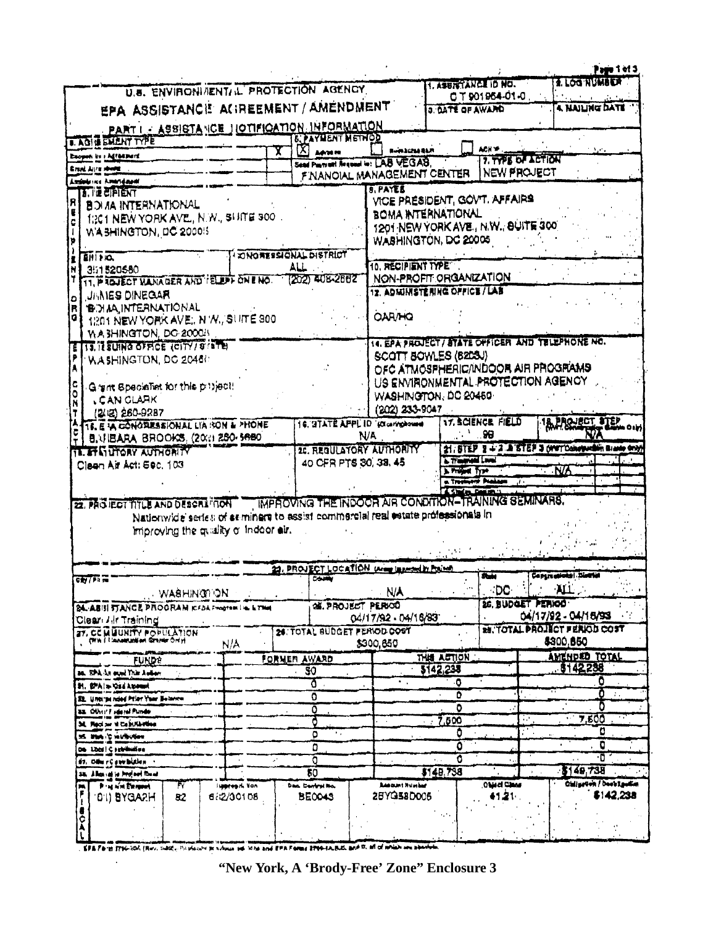|                                                                                                                                              |                                 | U.S. ENVIRONIMENTI IL PROTECTION AGENCY |                                                       | 1. ASSISTANCE ID NO.                                             | CT901964-01-0      | <b>Page 1 of 3</b><br><b>1. LOG'NUMBER</b>         |                                               |
|----------------------------------------------------------------------------------------------------------------------------------------------|---------------------------------|-----------------------------------------|-------------------------------------------------------|------------------------------------------------------------------|--------------------|----------------------------------------------------|-----------------------------------------------|
| EPA ASSISTANCE AGREEMENT / AMENDMENT                                                                                                         |                                 |                                         |                                                       | <b>3. DATE OF AWARD</b>                                          |                    | <b>4. NAILING DATE</b>                             |                                               |
| PART I - ASSISTANCE JOTIFICATION INFORMATION                                                                                                 |                                 |                                         |                                                       |                                                                  |                    |                                                    |                                               |
| <b>I. AGIE EMENT TYPE</b>                                                                                                                    |                                 | <b><i>B. PAYMENT METHOD</i></b>         |                                                       |                                                                  |                    |                                                    |                                               |
| Exopor its : Agreement                                                                                                                       |                                 | $[{\chi}]$ annum                        | <b>Burnacha Barn</b>                                  |                                                                  | 7. TYPE OF ACTION  |                                                    |                                               |
| Erent Aire more                                                                                                                              |                                 |                                         | Sead Pustrant Request In: LAB VEGAS.                  |                                                                  | <b>NEW PROJECT</b> |                                                    |                                               |
| Azzánia (est. Azzáni) apart                                                                                                                  |                                 |                                         | FINANOIAL MANAGEMENT CENTER                           |                                                                  |                    |                                                    |                                               |
| <b>13. THE ETPIENT</b>                                                                                                                       |                                 |                                         | <b>B. PAYES</b><br>VICE PRESIDENT, GOVT. AFFAIRS      |                                                                  |                    |                                                    |                                               |
| <b>BOI AA INTERNATIONAL</b>                                                                                                                  |                                 |                                         | BOMA INTERNATIONAL                                    |                                                                  |                    |                                                    |                                               |
| 1:301 NEW YORK AVE., N.W., SUITE 300.                                                                                                        |                                 |                                         | 1201 NEW YORK AVE., N.W., SUITE 300                   |                                                                  |                    |                                                    |                                               |
| WA SHINGTON, DC 2000!S                                                                                                                       |                                 |                                         | WASHINGTON, DC 20005                                  |                                                                  |                    |                                                    |                                               |
|                                                                                                                                              | <b>I ZONORESSIONAL DISTRICT</b> |                                         |                                                       |                                                                  |                    |                                                    |                                               |
| EHI HO.                                                                                                                                      |                                 | ALL                                     | 10. RECIPIENT TYPE                                    |                                                                  |                    |                                                    |                                               |
| 351520580<br>11. PROJECT MANAGER AND I ELD'T ON E NO. 72021 AU B-2002                                                                        |                                 |                                         | NON-PROFIT ORGANIZATION                               |                                                                  |                    |                                                    |                                               |
| <b>UNNES DINEGAR</b>                                                                                                                         |                                 |                                         | 12. ADMINISTERING OFFICE / LAB                        |                                                                  |                    |                                                    |                                               |
| <b>B. H.A. INTERNATIONAL</b><br>R                                                                                                            |                                 |                                         |                                                       |                                                                  |                    |                                                    |                                               |
| 1201 NEW YORK AVE, N W., SUITE 300<br>a                                                                                                      |                                 |                                         | <b>OAR/HQ</b>                                         |                                                                  |                    |                                                    |                                               |
| WA SHINGTON, DO 2000/5                                                                                                                       |                                 |                                         |                                                       |                                                                  |                    |                                                    |                                               |
| <b>113, IE SUING OFFICE (CITY/S (STB)</b>                                                                                                    |                                 |                                         | 14. EPA PROJECT / BYATE OFFICER AND TELEPHONE NO.     |                                                                  |                    |                                                    |                                               |
| WASHINGTON, DC 20460                                                                                                                         |                                 |                                         | SCOTT BOWLES (B2D3J)                                  |                                                                  |                    |                                                    |                                               |
|                                                                                                                                              |                                 |                                         | OFC ATMOSPHERIC/INDOOR AIR PROGRAMS                   |                                                                  |                    |                                                    |                                               |
| Grant Specialist for this privect!                                                                                                           |                                 |                                         | US ENVIRONMENTAL PROTECTION AGENCY                    |                                                                  |                    |                                                    |                                               |
| <b>CAN CLARK</b>                                                                                                                             |                                 |                                         | WASHINGTON, DC 20450-                                 |                                                                  |                    |                                                    |                                               |
| (以图 260-9287                                                                                                                                 |                                 |                                         | (202) 233-9047                                        |                                                                  |                    |                                                    |                                               |
| <b>TE. E IA CONORESSIONAL LIA RON &amp; PHONE</b>                                                                                            |                                 |                                         | 16. STATE APPL ID '(Ocaringhouse)                     | 17. SCIENCE FIELD                                                |                    | <b>IA PROVISOT DTEP</b>                            |                                               |
| B.VIBARA BROOKS, (2011 280-5680                                                                                                              |                                 |                                         | N/A                                                   |                                                                  |                    |                                                    |                                               |
| <b>11. IT'S UTORY AUTHORITY</b>                                                                                                              |                                 |                                         | 20. REGULATORY AUTHORITY                              |                                                                  |                    | 21. STEP 3 + 2 A STEP 3 (WWTConstantin Blaste any) |                                               |
| Clean Air Act: 590, 103                                                                                                                      |                                 | 40 CFR PTS 30, 38, 45                   |                                                       | <b>L. Transmitted Loved</b><br><b>NA</b><br><b>A Proget Type</b> |                    |                                                    |                                               |
|                                                                                                                                              |                                 |                                         |                                                       | <b>In Treasurer Producer</b><br>- 10                             |                    |                                                    |                                               |
|                                                                                                                                              |                                 |                                         | IMPROVING THE INDOCR AIR CONDITION-TRAINING SEMINARS. | <b>Chine From</b>                                                |                    |                                                    |                                               |
| 22. PAG IECT TITLE AND DESCRIPTION<br>Nationwide series of seminars to assist commercial real estate professionals in                        |                                 |                                         |                                                       |                                                                  |                    |                                                    |                                               |
| improving the quality of Indoor air.                                                                                                         |                                 |                                         |                                                       |                                                                  |                    |                                                    |                                               |
|                                                                                                                                              |                                 |                                         |                                                       |                                                                  |                    |                                                    |                                               |
|                                                                                                                                              |                                 |                                         |                                                       |                                                                  |                    |                                                    |                                               |
|                                                                                                                                              |                                 |                                         |                                                       |                                                                  |                    |                                                    |                                               |
|                                                                                                                                              |                                 |                                         |                                                       |                                                                  |                    |                                                    |                                               |
|                                                                                                                                              |                                 | COUNTY                                  | 29. PROJECT LOCATION WIND IN MONTH                    |                                                                  | 2000               | Compregnonts Northe                                |                                               |
| <b>WASHINGTON</b>                                                                                                                            |                                 |                                         | <b>N/A</b>                                            |                                                                  | <b>DC</b>          | ALL.                                               |                                               |
|                                                                                                                                              |                                 | <b>OK. PROJECT PERIOD</b>               |                                                       |                                                                  | 26. BUDGET PERIOD  |                                                    |                                               |
|                                                                                                                                              |                                 |                                         | 04/17/92 - 04/18/93                                   |                                                                  |                    | 04/17/92 - 04/15/93                                |                                               |
|                                                                                                                                              |                                 | 24. TOTAL BUDGET FERIOD COST            |                                                       |                                                                  |                    | <b>RE. TOTAL PROJECT FERIOD COST</b>               |                                               |
| <b>ERW I TANNAUGENT GERMA ON H</b><br>N/A                                                                                                    |                                 |                                         | \$300,850                                             |                                                                  |                    | \$300,850                                          |                                               |
| <b>FUNDE</b>                                                                                                                                 |                                 | FORMER AWARD                            |                                                       | THIS ACTION                                                      |                    | AMENDED TOTAL                                      |                                               |
| as, SPA-La evel Yule Autor                                                                                                                   |                                 | 30                                      |                                                       | \$142,238                                                        |                    | 8142238                                            |                                               |
| <b>H. B-Ala-Qid Anamed</b>                                                                                                                   |                                 | Ō                                       |                                                       | O                                                                |                    |                                                    | O<br>o<br>$\mathcal{L}_{\mathcal{A}}$         |
| St. Untilte reled Prior Year Belance                                                                                                         |                                 | Ō                                       |                                                       | ٥<br>٥                                                           |                    |                                                    | D                                             |
| 33. Other Faderal Punde                                                                                                                      |                                 | ٥                                       |                                                       |                                                                  | ۰.,                | 7.500                                              |                                               |
| <b>SE, Recipe vi Camillavina</b>                                                                                                             |                                 | O<br>٥                                  |                                                       | 7,600<br>O                                                       |                    |                                                    | o                                             |
| 35 literary in university                                                                                                                    |                                 | ٥                                       |                                                       | ٥                                                                |                    |                                                    | O                                             |
| 06 Libbs   C Febrikation<br>87. Odu r¢ svetskihan                                                                                            |                                 | ō                                       |                                                       | O                                                                |                    |                                                    | $\cdot$ O                                     |
| 38. Allen id is freinet formt                                                                                                                |                                 | 80                                      |                                                       | \$148,738                                                        |                    | $-3149,738$                                        |                                               |
| <b>Program Excepted</b><br>FY<br>l <b>uppres</b> zki Van                                                                                     |                                 | Dan Central No.                         | <b>Resount Humber</b>                                 |                                                                  | Object Clean       |                                                    |                                               |
| 82<br><b>DIJ BYGARH</b><br>6/2/30108                                                                                                         |                                 | <b>BE0043</b>                           | 28YG58D005                                            |                                                                  | 41.21-             |                                                    | <b>Chilipeton / Deebilguiter</b><br>\$142,238 |
| <b>City</b> / Pit m<br><b>24. ABIII STANCE PROORAM ICFAA FHOOTEN LIE &amp; THAT</b><br>Clear <i>Hir</i> Training<br>27, CCMUUNITY POPULATION |                                 |                                         |                                                       |                                                                  |                    |                                                    |                                               |
| <b>SOF</b>                                                                                                                                   |                                 |                                         |                                                       |                                                                  |                    |                                                    |                                               |

 $\hat{\mathbf{r}}$ 

**"New York, A 'Brody-Free' Zone" Enclosure 3**